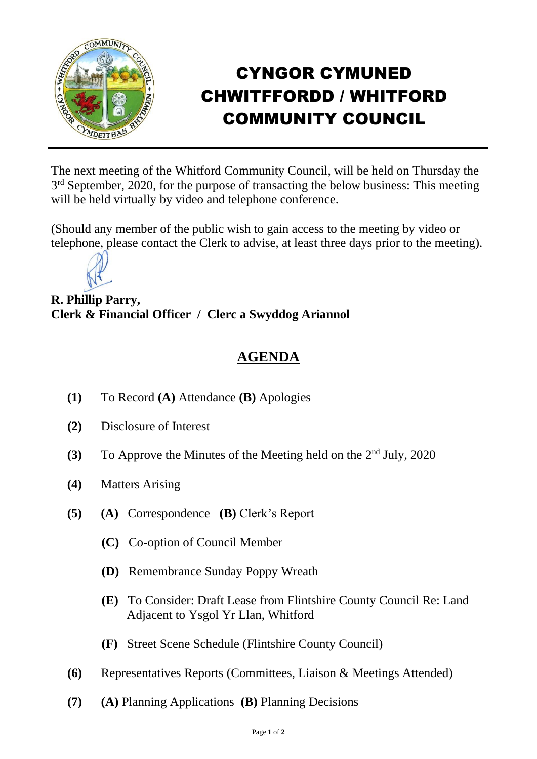

## CYNGOR CYMUNED CHWITFFORDD / WHITFORD COMMUNITY COUNCIL

The next meeting of the Whitford Community Council, will be held on Thursday the 3<sup>rd</sup> September, 2020, for the purpose of transacting the below business: This meeting will be held virtually by video and telephone conference.

(Should any member of the public wish to gain access to the meeting by video or telephone, please contact the Clerk to advise, at least three days prior to the meeting).



**R. Phillip Parry, Clerk & Financial Officer / Clerc a Swyddog Ariannol**

## **AGENDA**

- **(1)** To Record **(A)** Attendance **(B)** Apologies
- **(2)** Disclosure of Interest
- (3) To Approve the Minutes of the Meeting held on the 2<sup>nd</sup> July, 2020
- **(4)** Matters Arising
- **(5) (A)** Correspondence **(B)** Clerk's Report
	- **(C)** Co-option of Council Member
	- **(D)** Remembrance Sunday Poppy Wreath
	- **(E)** To Consider: Draft Lease from Flintshire County Council Re: Land Adjacent to Ysgol Yr Llan, Whitford
	- **(F)** Street Scene Schedule (Flintshire County Council)
- **(6)** Representatives Reports (Committees, Liaison & Meetings Attended)
- **(7) (A)** Planning Applications **(B)** Planning Decisions